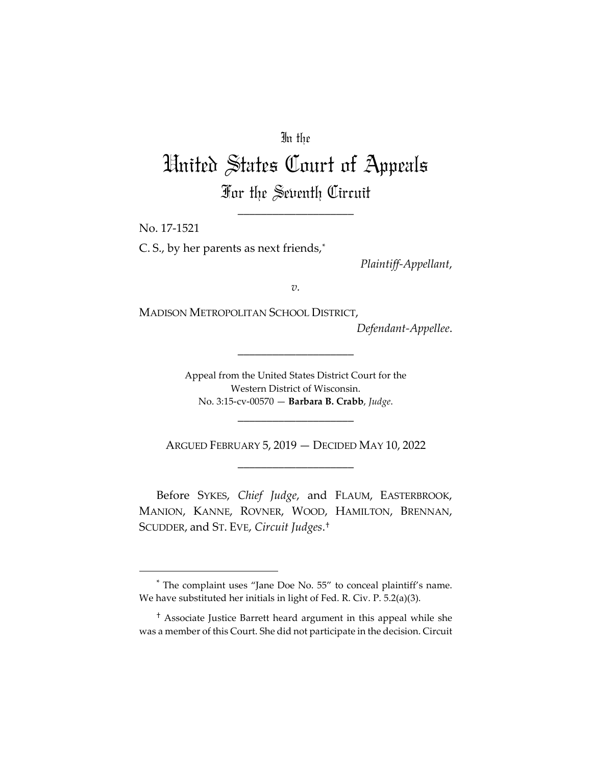## In the

# United States Court of Appeals For the Seventh Circuit

\_\_\_\_\_\_\_\_\_\_\_\_\_\_\_\_\_\_\_\_

No. 17-1521

C. S., by her parents as next friends,\*

*Plaintiff-Appellant*,

*v.*

MADISON METROPOLITAN SCHOOL DISTRICT,

*Defendant-Appellee*.

Appeal from the United States District Court for the Western District of Wisconsin. No. 3:15-cv-00570 — **Barbara B. Crabb**, *Judge*.

\_\_\_\_\_\_\_\_\_\_\_\_\_\_\_\_\_\_\_\_

ARGUED FEBRUARY 5, 2019 — DECIDED MAY 10, 2022 \_\_\_\_\_\_\_\_\_\_\_\_\_\_\_\_\_\_\_\_

\_\_\_\_\_\_\_\_\_\_\_\_\_\_\_\_\_\_\_\_

Before SYKES, *Chief Judge*, and FLAUM, EASTERBROOK, MANION, KANNE, ROVNER, WOOD, HAMILTON, BRENNAN, SCUDDER, and ST. EVE, *Circuit Judges*.†

<sup>\*</sup> The complaint uses "Jane Doe No. 55" to conceal plaintiff's name. We have substituted her initials in light of Fed. R. Civ. P. 5.2(a)(3).

<sup>†</sup> Associate Justice Barrett heard argument in this appeal while she was a member of this Court. She did not participate in the decision. Circuit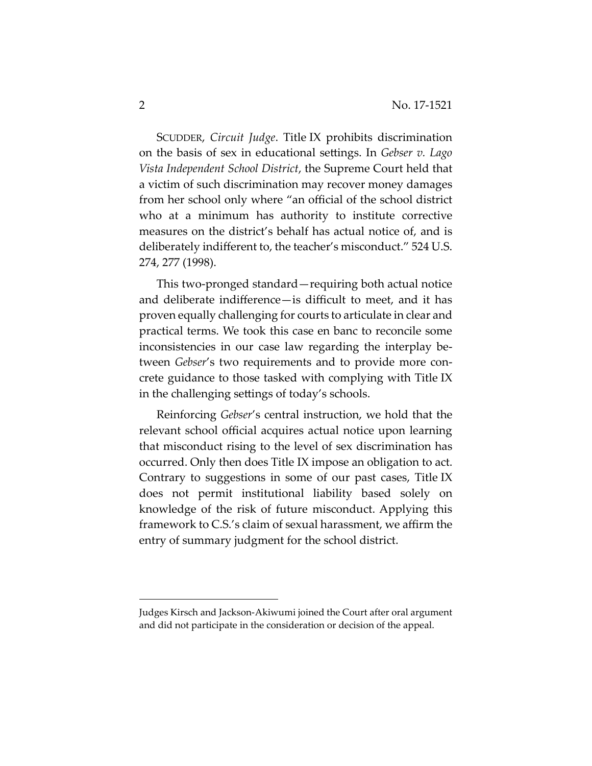SCUDDER, *Circuit Judge*. Title IX prohibits discrimination on the basis of sex in educational settings. In *Gebser v. Lago Vista Independent School District*, the Supreme Court held that a victim of such discrimination may recover money damages from her school only where "an official of the school district who at a minimum has authority to institute corrective measures on the district's behalf has actual notice of, and is deliberately indifferent to, the teacher's misconduct." 524 U.S. 274, 277 (1998).

This two-pronged standard—requiring both actual notice and deliberate indifference—is difficult to meet, and it has proven equally challenging for courts to articulate in clear and practical terms. We took this case en banc to reconcile some inconsistencies in our case law regarding the interplay between *Gebser*'s two requirements and to provide more concrete guidance to those tasked with complying with Title IX in the challenging settings of today's schools.

Reinforcing *Gebser*'s central instruction, we hold that the relevant school official acquires actual notice upon learning that misconduct rising to the level of sex discrimination has occurred. Only then does Title IX impose an obligation to act. Contrary to suggestions in some of our past cases, Title IX does not permit institutional liability based solely on knowledge of the risk of future misconduct. Applying this framework to C.S.'s claim of sexual harassment, we affirm the entry of summary judgment for the school district.

Judges Kirsch and Jackson-Akiwumi joined the Court after oral argument and did not participate in the consideration or decision of the appeal.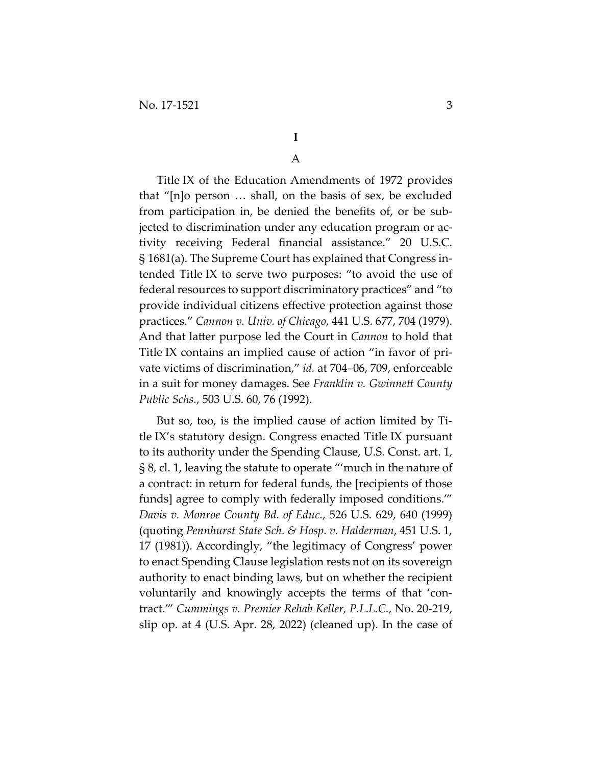# **I**

# A

Title IX of the Education Amendments of 1972 provides that "[n]o person … shall, on the basis of sex, be excluded from participation in, be denied the benefits of, or be subjected to discrimination under any education program or activity receiving Federal financial assistance." 20 U.S.C. § 1681(a). The Supreme Court has explained that Congress intended Title IX to serve two purposes: "to avoid the use of federal resources to support discriminatory practices" and "to provide individual citizens effective protection against those practices." *Cannon v. Univ. of Chicago*, 441 U.S. 677, 704 (1979). And that latter purpose led the Court in *Cannon* to hold that Title IX contains an implied cause of action "in favor of private victims of discrimination," *id.* at 704–06, 709, enforceable in a suit for money damages. See *Franklin v. Gwinnett County Public Schs.*, 503 U.S. 60, 76 (1992).

But so, too, is the implied cause of action limited by Title IX's statutory design. Congress enacted Title IX pursuant to its authority under the Spending Clause, U.S. Const. art. 1, § 8, cl. 1, leaving the statute to operate "'much in the nature of a contract: in return for federal funds, the [recipients of those funds] agree to comply with federally imposed conditions.'" *Davis v. Monroe County Bd. of Educ.*, 526 U.S. 629, 640 (1999) (quoting *Pennhurst State Sch. & Hosp. v. Halderman*, 451 U.S. 1, 17 (1981)). Accordingly, "the legitimacy of Congress' power to enact Spending Clause legislation rests not on its sovereign authority to enact binding laws, but on whether the recipient voluntarily and knowingly accepts the terms of that 'contract.'" *Cummings v. Premier Rehab Keller, P.L.L.C.*, No. 20-219, slip op. at 4 (U.S. Apr. 28, 2022) (cleaned up). In the case of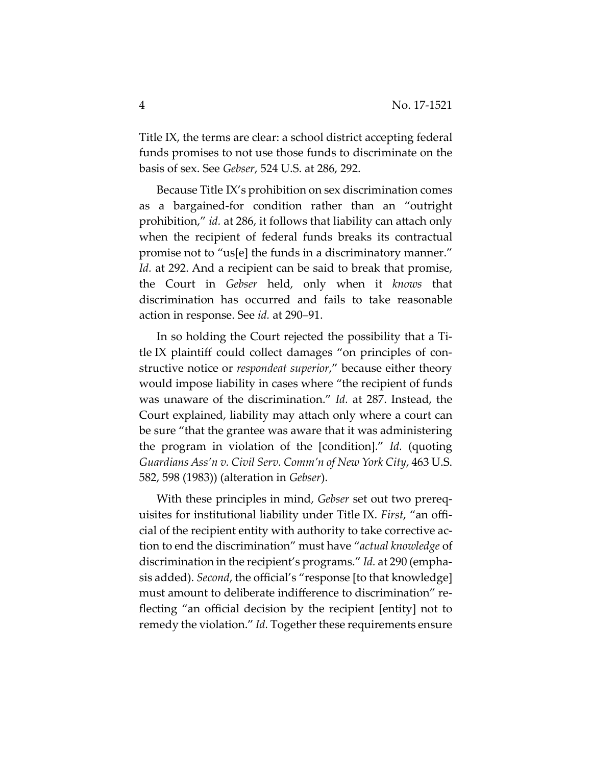Title IX, the terms are clear: a school district accepting federal funds promises to not use those funds to discriminate on the basis of sex. See *Gebser*, 524 U.S. at 286, 292.

Because Title IX's prohibition on sex discrimination comes as a bargained-for condition rather than an "outright prohibition," *id.* at 286, it follows that liability can attach only when the recipient of federal funds breaks its contractual promise not to "us[e] the funds in a discriminatory manner." *Id.* at 292. And a recipient can be said to break that promise, the Court in *Gebser* held, only when it *knows* that discrimination has occurred and fails to take reasonable action in response. See *id.* at 290–91.

In so holding the Court rejected the possibility that a Title IX plaintiff could collect damages "on principles of constructive notice or *respondeat superior*," because either theory would impose liability in cases where "the recipient of funds was unaware of the discrimination." *Id.* at 287. Instead, the Court explained, liability may attach only where a court can be sure "that the grantee was aware that it was administering the program in violation of the [condition]." *Id.* (quoting *Guardians Ass'n v. Civil Serv. Comm'n of New York City*, 463 U.S. 582, 598 (1983)) (alteration in *Gebser*).

With these principles in mind, *Gebser* set out two prerequisites for institutional liability under Title IX. *First*, "an official of the recipient entity with authority to take corrective action to end the discrimination" must have "*actual knowledge* of discrimination in the recipient's programs." *Id.* at 290 (emphasis added). *Second*, the official's "response [to that knowledge] must amount to deliberate indifference to discrimination" reflecting "an official decision by the recipient [entity] not to remedy the violation." *Id.* Together these requirements ensure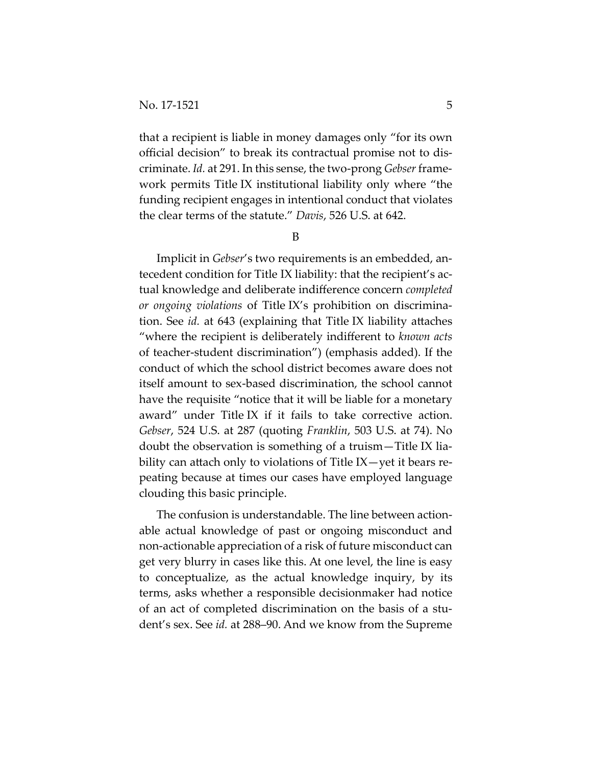that a recipient is liable in money damages only "for its own official decision" to break its contractual promise not to discriminate. *Id.* at 291. In this sense, the two-prong *Gebser* framework permits Title IX institutional liability only where "the funding recipient engages in intentional conduct that violates the clear terms of the statute." *Davis*, 526 U.S. at 642.

B

Implicit in *Gebser*'s two requirements is an embedded, antecedent condition for Title IX liability: that the recipient's actual knowledge and deliberate indifference concern *completed or ongoing violations* of Title IX's prohibition on discrimination. See *id.* at 643 (explaining that Title IX liability attaches "where the recipient is deliberately indifferent to *known acts* of teacher-student discrimination") (emphasis added). If the conduct of which the school district becomes aware does not itself amount to sex-based discrimination, the school cannot have the requisite "notice that it will be liable for a monetary award" under Title IX if it fails to take corrective action. *Gebser*, 524 U.S. at 287 (quoting *Franklin*, 503 U.S. at 74). No doubt the observation is something of a truism—Title IX liability can attach only to violations of Title IX—yet it bears repeating because at times our cases have employed language clouding this basic principle.

The confusion is understandable. The line between actionable actual knowledge of past or ongoing misconduct and non-actionable appreciation of a risk of future misconduct can get very blurry in cases like this. At one level, the line is easy to conceptualize, as the actual knowledge inquiry, by its terms, asks whether a responsible decisionmaker had notice of an act of completed discrimination on the basis of a student's sex. See *id.* at 288–90. And we know from the Supreme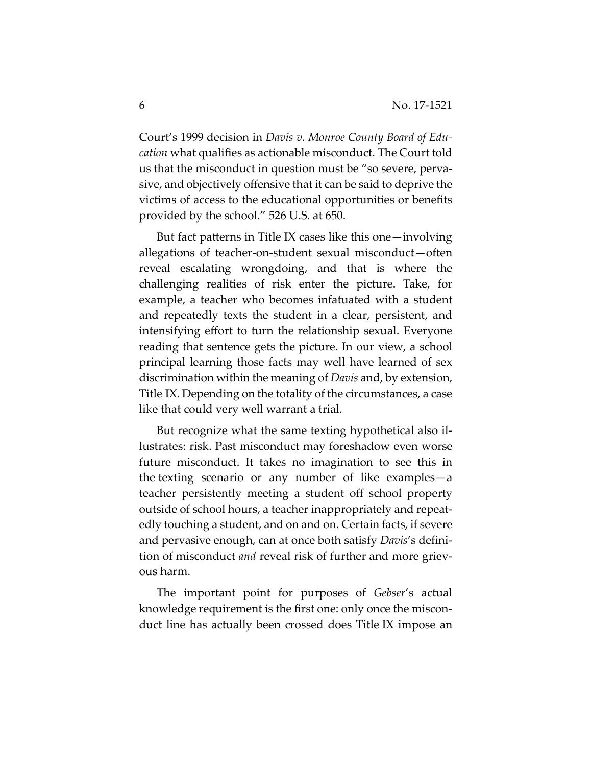Court's 1999 decision in *Davis v. Monroe County Board of Education* what qualifies as actionable misconduct. The Court told us that the misconduct in question must be "so severe, pervasive, and objectively offensive that it can be said to deprive the victims of access to the educational opportunities or benefits provided by the school." 526 U.S. at 650.

But fact patterns in Title IX cases like this one—involving allegations of teacher-on-student sexual misconduct—often reveal escalating wrongdoing, and that is where the challenging realities of risk enter the picture. Take, for example, a teacher who becomes infatuated with a student and repeatedly texts the student in a clear, persistent, and intensifying effort to turn the relationship sexual. Everyone reading that sentence gets the picture. In our view, a school principal learning those facts may well have learned of sex discrimination within the meaning of *Davis* and, by extension, Title IX. Depending on the totality of the circumstances, a case like that could very well warrant a trial.

But recognize what the same texting hypothetical also illustrates: risk. Past misconduct may foreshadow even worse future misconduct. It takes no imagination to see this in the texting scenario or any number of like examples—a teacher persistently meeting a student off school property outside of school hours, a teacher inappropriately and repeatedly touching a student, and on and on. Certain facts, if severe and pervasive enough, can at once both satisfy *Davis*'s definition of misconduct *and* reveal risk of further and more grievous harm.

The important point for purposes of *Gebser*'s actual knowledge requirement is the first one: only once the misconduct line has actually been crossed does Title IX impose an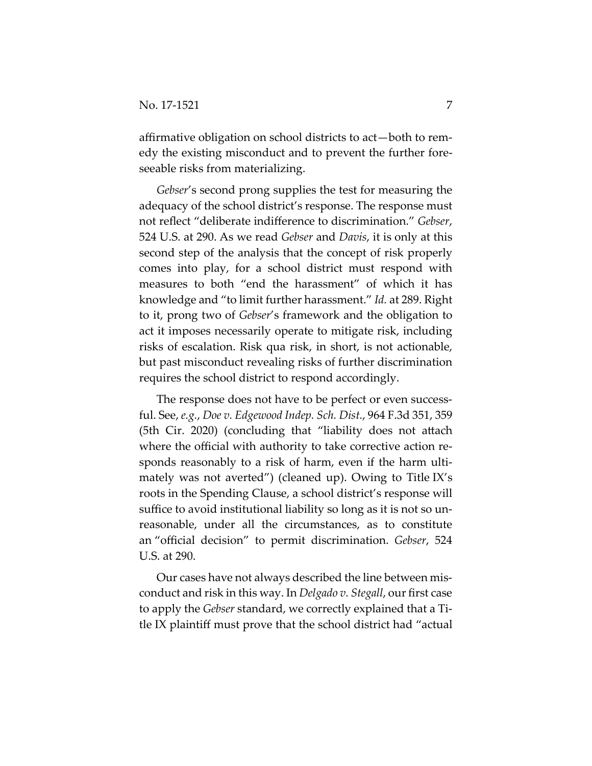affirmative obligation on school districts to act—both to remedy the existing misconduct and to prevent the further foreseeable risks from materializing.

*Gebser*'s second prong supplies the test for measuring the adequacy of the school district's response. The response must not reflect "deliberate indifference to discrimination." *Gebser*, 524 U.S. at 290. As we read *Gebser* and *Davis*, it is only at this second step of the analysis that the concept of risk properly comes into play, for a school district must respond with measures to both "end the harassment" of which it has knowledge and "to limit further harassment." *Id.* at 289. Right to it, prong two of *Gebser*'s framework and the obligation to act it imposes necessarily operate to mitigate risk, including risks of escalation. Risk qua risk, in short, is not actionable, but past misconduct revealing risks of further discrimination requires the school district to respond accordingly.

The response does not have to be perfect or even successful. See, *e.g.*, *Doe v. Edgewood Indep. Sch. Dist.*, 964 F.3d 351, 359 (5th Cir. 2020) (concluding that "liability does not attach where the official with authority to take corrective action responds reasonably to a risk of harm, even if the harm ultimately was not averted") (cleaned up). Owing to Title IX's roots in the Spending Clause, a school district's response will suffice to avoid institutional liability so long as it is not so unreasonable, under all the circumstances, as to constitute an "official decision" to permit discrimination. *Gebser*, 524 U.S. at 290.

Our cases have not always described the line between misconduct and risk in this way. In *Delgado v. Stegall*, our first case to apply the *Gebser* standard, we correctly explained that a Title IX plaintiff must prove that the school district had "actual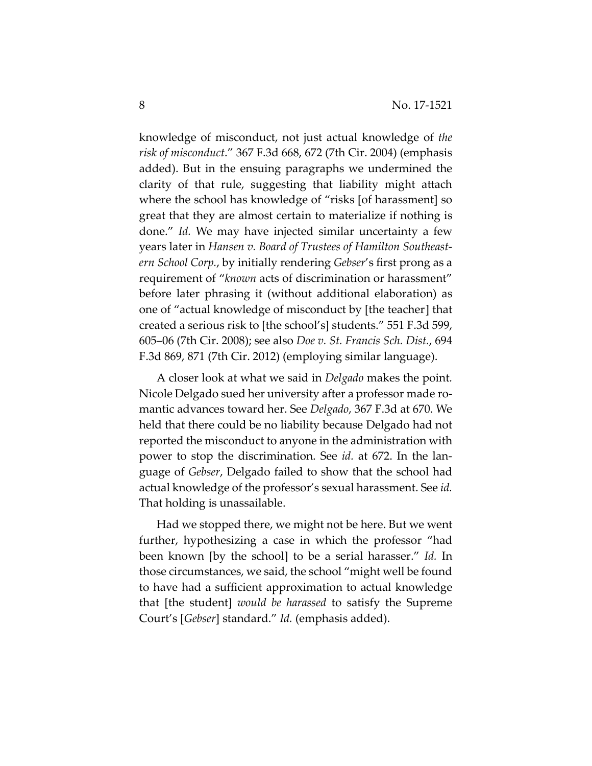knowledge of misconduct, not just actual knowledge of *the risk of misconduct*." 367 F.3d 668, 672 (7th Cir. 2004) (emphasis added). But in the ensuing paragraphs we undermined the clarity of that rule, suggesting that liability might attach where the school has knowledge of "risks [of harassment] so great that they are almost certain to materialize if nothing is done." *Id.* We may have injected similar uncertainty a few years later in *Hansen v. Board of Trustees of Hamilton Southeastern School Corp.*, by initially rendering *Gebser*'s first prong as a requirement of "*known* acts of discrimination or harassment" before later phrasing it (without additional elaboration) as one of "actual knowledge of misconduct by [the teacher] that created a serious risk to [the school's] students." 551 F.3d 599, 605–06 (7th Cir. 2008); see also *Doe v. St. Francis Sch. Dist.*, 694 F.3d 869, 871 (7th Cir. 2012) (employing similar language).

A closer look at what we said in *Delgado* makes the point*.*  Nicole Delgado sued her university after a professor made romantic advances toward her. See *Delgado*, 367 F.3d at 670. We held that there could be no liability because Delgado had not reported the misconduct to anyone in the administration with power to stop the discrimination. See *id.* at 672. In the language of *Gebser*, Delgado failed to show that the school had actual knowledge of the professor's sexual harassment. See *id.*  That holding is unassailable.

Had we stopped there, we might not be here. But we went further, hypothesizing a case in which the professor "had been known [by the school] to be a serial harasser." *Id.* In those circumstances, we said, the school "might well be found to have had a sufficient approximation to actual knowledge that [the student] *would be harassed* to satisfy the Supreme Court's [*Gebser*] standard." *Id.* (emphasis added).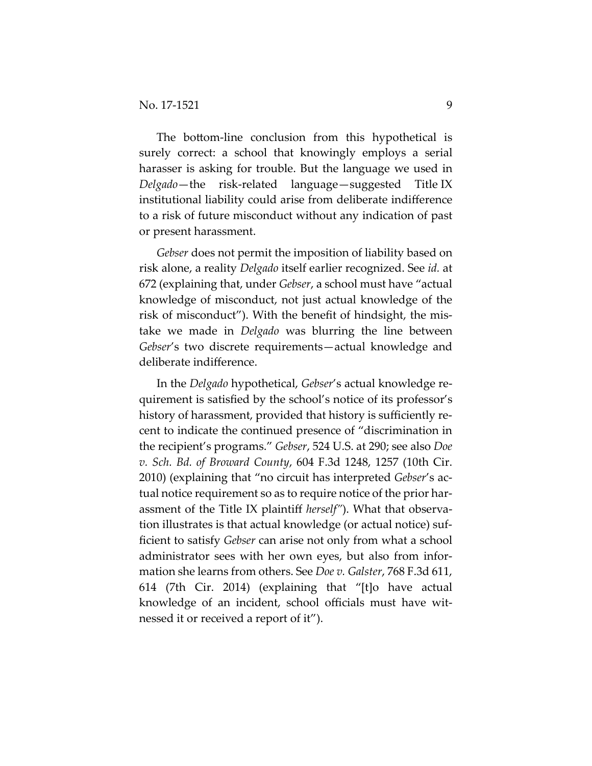The bottom-line conclusion from this hypothetical is surely correct: a school that knowingly employs a serial harasser is asking for trouble. But the language we used in *Delgado*—the risk-related language—suggested Title IX institutional liability could arise from deliberate indifference to a risk of future misconduct without any indication of past or present harassment.

*Gebser* does not permit the imposition of liability based on risk alone, a reality *Delgado* itself earlier recognized. See *id.* at 672 (explaining that, under *Gebser*, a school must have "actual knowledge of misconduct, not just actual knowledge of the risk of misconduct"). With the benefit of hindsight, the mistake we made in *Delgado* was blurring the line between *Gebser*'s two discrete requirements—actual knowledge and deliberate indifference.

In the *Delgado* hypothetical, *Gebser*'s actual knowledge requirement is satisfied by the school's notice of its professor's history of harassment, provided that history is sufficiently recent to indicate the continued presence of "discrimination in the recipient's programs." *Gebser*, 524 U.S. at 290; see also *Doe v. Sch. Bd. of Broward County*, 604 F.3d 1248, 1257 (10th Cir. 2010) (explaining that "no circuit has interpreted *Gebser*'s actual notice requirement so as to require notice of the prior harassment of the Title IX plaintiff *herself"*). What that observation illustrates is that actual knowledge (or actual notice) sufficient to satisfy *Gebser* can arise not only from what a school administrator sees with her own eyes, but also from information she learns from others. See *Doe v. Galster*, 768 F.3d 611, 614 (7th Cir. 2014) (explaining that "[t]o have actual knowledge of an incident, school officials must have witnessed it or received a report of it").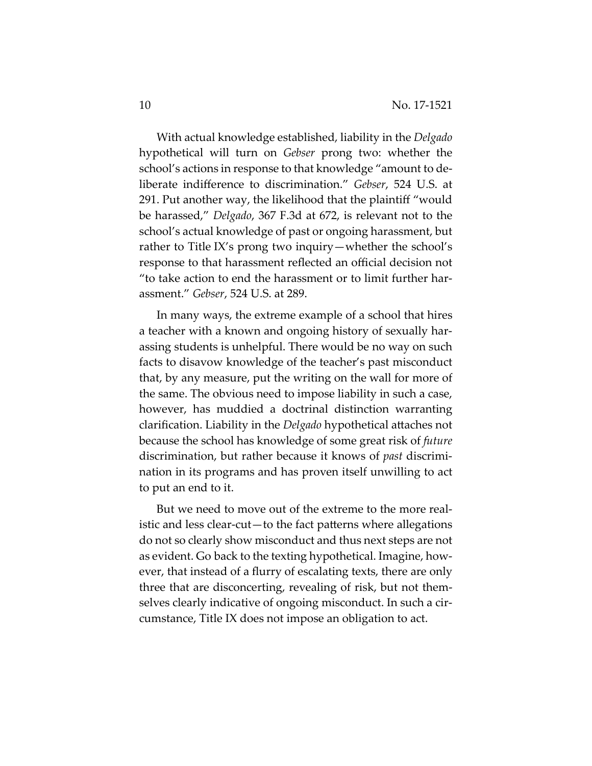With actual knowledge established, liability in the *Delgado*  hypothetical will turn on *Gebser* prong two: whether the school's actions in response to that knowledge "amount to deliberate indifference to discrimination." *Gebser*, 524 U.S. at 291. Put another way, the likelihood that the plaintiff "would be harassed," *Delgado*, 367 F.3d at 672, is relevant not to the school's actual knowledge of past or ongoing harassment, but rather to Title IX's prong two inquiry—whether the school's response to that harassment reflected an official decision not "to take action to end the harassment or to limit further harassment." *Gebser*, 524 U.S. at 289.

In many ways, the extreme example of a school that hires a teacher with a known and ongoing history of sexually harassing students is unhelpful. There would be no way on such facts to disavow knowledge of the teacher's past misconduct that, by any measure, put the writing on the wall for more of the same. The obvious need to impose liability in such a case, however, has muddied a doctrinal distinction warranting clarification. Liability in the *Delgado* hypothetical attaches not because the school has knowledge of some great risk of *future* discrimination, but rather because it knows of *past* discrimination in its programs and has proven itself unwilling to act to put an end to it.

But we need to move out of the extreme to the more realistic and less clear-cut—to the fact patterns where allegations do not so clearly show misconduct and thus next steps are not as evident. Go back to the texting hypothetical. Imagine, however, that instead of a flurry of escalating texts, there are only three that are disconcerting, revealing of risk, but not themselves clearly indicative of ongoing misconduct. In such a circumstance, Title IX does not impose an obligation to act.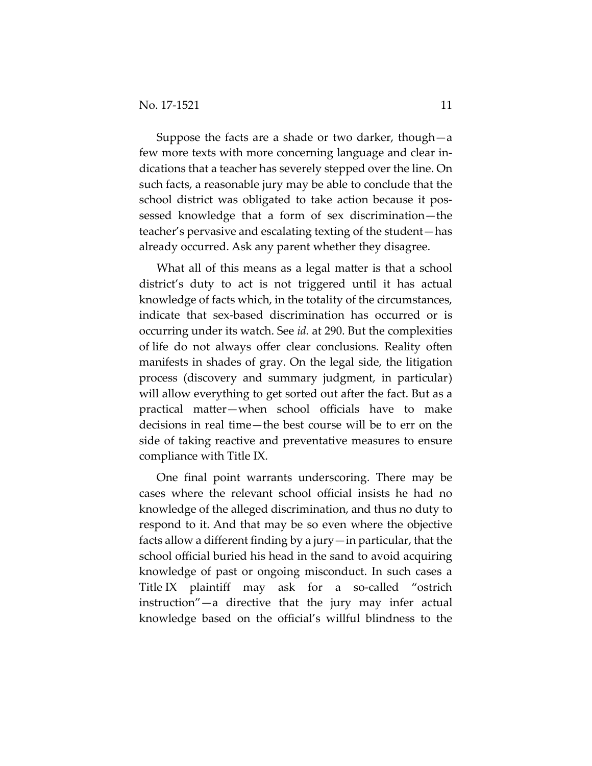Suppose the facts are a shade or two darker, though—a few more texts with more concerning language and clear indications that a teacher has severely stepped over the line. On such facts, a reasonable jury may be able to conclude that the school district was obligated to take action because it possessed knowledge that a form of sex discrimination—the teacher's pervasive and escalating texting of the student—has already occurred. Ask any parent whether they disagree.

What all of this means as a legal matter is that a school district's duty to act is not triggered until it has actual knowledge of facts which, in the totality of the circumstances, indicate that sex-based discrimination has occurred or is occurring under its watch. See *id.* at 290. But the complexities of life do not always offer clear conclusions. Reality often manifests in shades of gray. On the legal side, the litigation process (discovery and summary judgment, in particular) will allow everything to get sorted out after the fact. But as a practical matter—when school officials have to make decisions in real time—the best course will be to err on the side of taking reactive and preventative measures to ensure compliance with Title IX.

One final point warrants underscoring. There may be cases where the relevant school official insists he had no knowledge of the alleged discrimination, and thus no duty to respond to it. And that may be so even where the objective facts allow a different finding by a jury—in particular, that the school official buried his head in the sand to avoid acquiring knowledge of past or ongoing misconduct. In such cases a Title IX plaintiff may ask for a so-called "ostrich instruction"—a directive that the jury may infer actual knowledge based on the official's willful blindness to the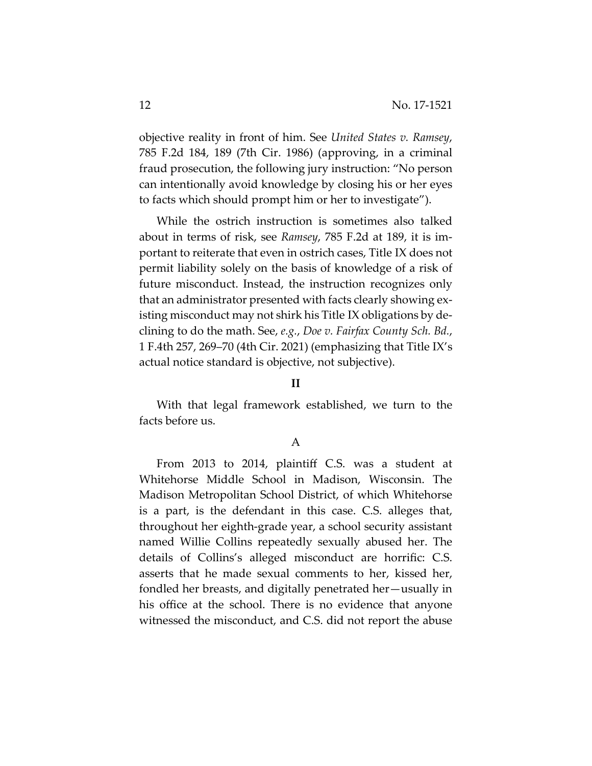objective reality in front of him. See *United States v. Ramsey*, 785 F.2d 184, 189 (7th Cir. 1986) (approving, in a criminal fraud prosecution, the following jury instruction: "No person can intentionally avoid knowledge by closing his or her eyes to facts which should prompt him or her to investigate").

While the ostrich instruction is sometimes also talked about in terms of risk, see *Ramsey*, 785 F.2d at 189, it is important to reiterate that even in ostrich cases, Title IX does not permit liability solely on the basis of knowledge of a risk of future misconduct. Instead, the instruction recognizes only that an administrator presented with facts clearly showing existing misconduct may not shirk his Title IX obligations by declining to do the math. See, *e.g.*, *Doe v. Fairfax County Sch. Bd.*, 1 F.4th 257, 269–70 (4th Cir. 2021) (emphasizing that Title IX's actual notice standard is objective, not subjective).

### **II**

With that legal framework established, we turn to the facts before us.

### A

From 2013 to 2014, plaintiff C.S. was a student at Whitehorse Middle School in Madison, Wisconsin. The Madison Metropolitan School District, of which Whitehorse is a part, is the defendant in this case. C.S. alleges that, throughout her eighth-grade year, a school security assistant named Willie Collins repeatedly sexually abused her. The details of Collins's alleged misconduct are horrific: C.S. asserts that he made sexual comments to her, kissed her, fondled her breasts, and digitally penetrated her—usually in his office at the school. There is no evidence that anyone witnessed the misconduct, and C.S. did not report the abuse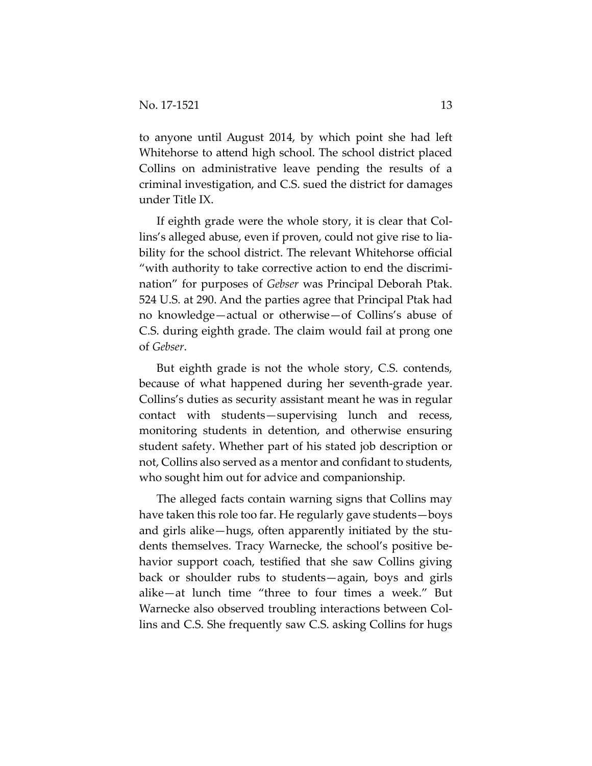to anyone until August 2014, by which point she had left Whitehorse to attend high school. The school district placed Collins on administrative leave pending the results of a criminal investigation, and C.S. sued the district for damages under Title IX.

If eighth grade were the whole story, it is clear that Collins's alleged abuse, even if proven, could not give rise to liability for the school district. The relevant Whitehorse official "with authority to take corrective action to end the discrimination" for purposes of *Gebser* was Principal Deborah Ptak. 524 U.S. at 290. And the parties agree that Principal Ptak had no knowledge—actual or otherwise—of Collins's abuse of C.S. during eighth grade. The claim would fail at prong one of *Gebser*.

But eighth grade is not the whole story, C.S. contends, because of what happened during her seventh-grade year. Collins's duties as security assistant meant he was in regular contact with students—supervising lunch and recess, monitoring students in detention, and otherwise ensuring student safety. Whether part of his stated job description or not, Collins also served as a mentor and confidant to students, who sought him out for advice and companionship.

The alleged facts contain warning signs that Collins may have taken this role too far. He regularly gave students—boys and girls alike—hugs, often apparently initiated by the students themselves. Tracy Warnecke, the school's positive behavior support coach, testified that she saw Collins giving back or shoulder rubs to students—again, boys and girls alike—at lunch time "three to four times a week." But Warnecke also observed troubling interactions between Collins and C.S. She frequently saw C.S. asking Collins for hugs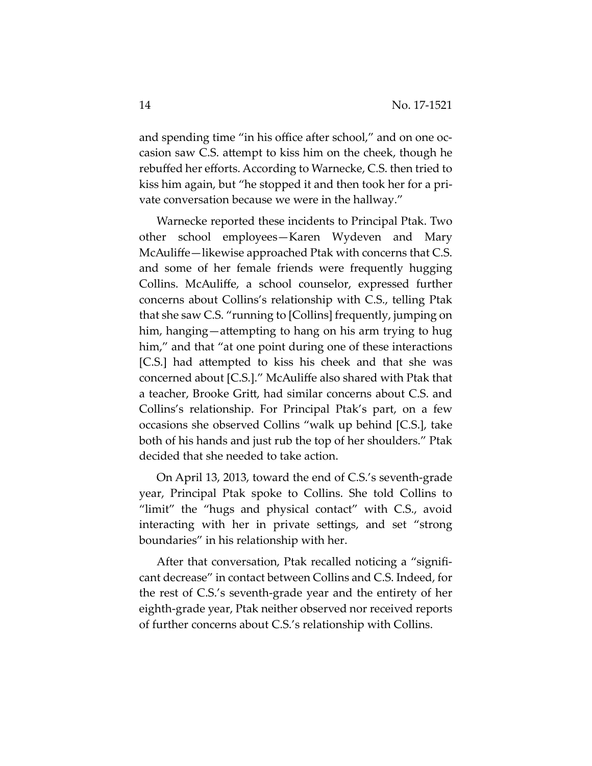and spending time "in his office after school," and on one occasion saw C.S. attempt to kiss him on the cheek, though he rebuffed her efforts. According to Warnecke, C.S. then tried to kiss him again, but "he stopped it and then took her for a private conversation because we were in the hallway."

Warnecke reported these incidents to Principal Ptak. Two other school employees—Karen Wydeven and Mary McAuliffe—likewise approached Ptak with concerns that C.S. and some of her female friends were frequently hugging Collins. McAuliffe, a school counselor, expressed further concerns about Collins's relationship with C.S., telling Ptak that she saw C.S. "running to [Collins] frequently, jumping on him, hanging—attempting to hang on his arm trying to hug him," and that "at one point during one of these interactions [C.S.] had attempted to kiss his cheek and that she was concerned about [C.S.]." McAuliffe also shared with Ptak that a teacher, Brooke Gritt, had similar concerns about C.S. and Collins's relationship. For Principal Ptak's part, on a few occasions she observed Collins "walk up behind [C.S.], take both of his hands and just rub the top of her shoulders." Ptak decided that she needed to take action.

On April 13, 2013, toward the end of C.S.'s seventh-grade year, Principal Ptak spoke to Collins. She told Collins to "limit" the "hugs and physical contact" with C.S., avoid interacting with her in private settings, and set "strong boundaries" in his relationship with her.

After that conversation, Ptak recalled noticing a "significant decrease" in contact between Collins and C.S. Indeed, for the rest of C.S.'s seventh-grade year and the entirety of her eighth-grade year, Ptak neither observed nor received reports of further concerns about C.S.'s relationship with Collins.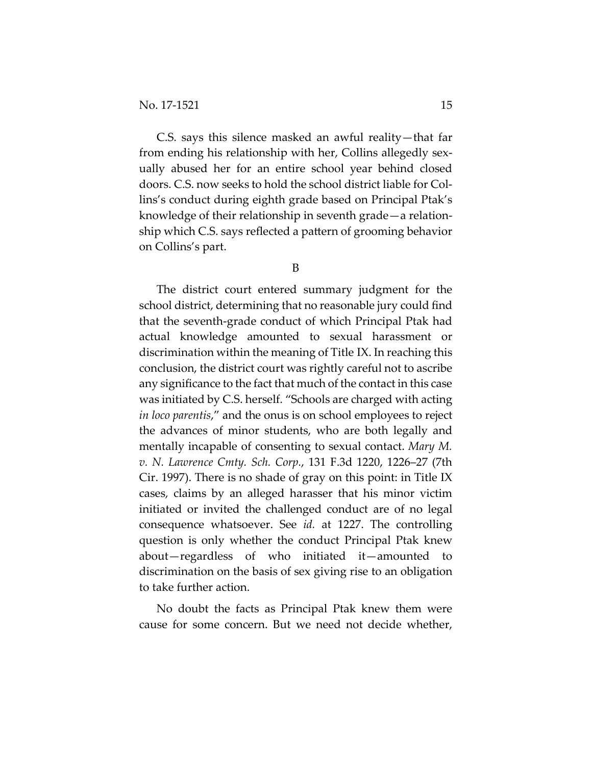C.S. says this silence masked an awful reality—that far from ending his relationship with her, Collins allegedly sexually abused her for an entire school year behind closed doors. C.S. now seeks to hold the school district liable for Collins's conduct during eighth grade based on Principal Ptak's knowledge of their relationship in seventh grade—a relationship which C.S. says reflected a pattern of grooming behavior on Collins's part.

B

The district court entered summary judgment for the school district, determining that no reasonable jury could find that the seventh-grade conduct of which Principal Ptak had actual knowledge amounted to sexual harassment or discrimination within the meaning of Title IX. In reaching this conclusion, the district court was rightly careful not to ascribe any significance to the fact that much of the contact in this case was initiated by C.S. herself. "Schools are charged with acting *in loco parentis*," and the onus is on school employees to reject the advances of minor students, who are both legally and mentally incapable of consenting to sexual contact. *Mary M. v. N. Lawrence Cmty. Sch. Corp.*, 131 F.3d 1220, 1226–27 (7th Cir. 1997). There is no shade of gray on this point: in Title IX cases, claims by an alleged harasser that his minor victim initiated or invited the challenged conduct are of no legal consequence whatsoever. See *id.* at 1227. The controlling question is only whether the conduct Principal Ptak knew about—regardless of who initiated it—amounted to discrimination on the basis of sex giving rise to an obligation to take further action.

No doubt the facts as Principal Ptak knew them were cause for some concern. But we need not decide whether,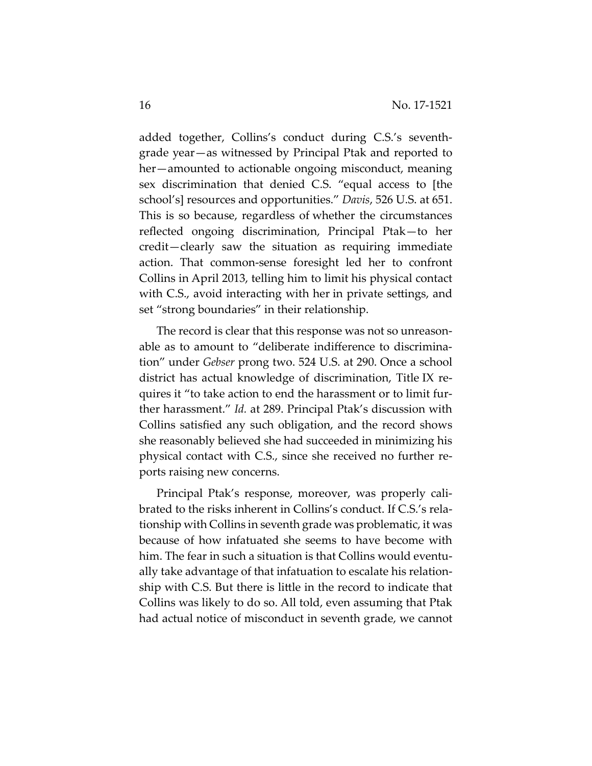added together, Collins's conduct during C.S.'s seventhgrade year—as witnessed by Principal Ptak and reported to her—amounted to actionable ongoing misconduct, meaning sex discrimination that denied C.S. "equal access to [the school's] resources and opportunities." *Davis*, 526 U.S. at 651. This is so because, regardless of whether the circumstances reflected ongoing discrimination, Principal Ptak—to her credit—clearly saw the situation as requiring immediate action. That common-sense foresight led her to confront Collins in April 2013, telling him to limit his physical contact with C.S., avoid interacting with her in private settings, and set "strong boundaries" in their relationship.

The record is clear that this response was not so unreasonable as to amount to "deliberate indifference to discrimination" under *Gebser* prong two. 524 U.S. at 290. Once a school district has actual knowledge of discrimination, Title IX requires it "to take action to end the harassment or to limit further harassment." *Id.* at 289. Principal Ptak's discussion with Collins satisfied any such obligation, and the record shows she reasonably believed she had succeeded in minimizing his physical contact with C.S., since she received no further reports raising new concerns.

Principal Ptak's response, moreover, was properly calibrated to the risks inherent in Collins's conduct. If C.S.'s relationship with Collins in seventh grade was problematic, it was because of how infatuated she seems to have become with him. The fear in such a situation is that Collins would eventually take advantage of that infatuation to escalate his relationship with C.S. But there is little in the record to indicate that Collins was likely to do so. All told, even assuming that Ptak had actual notice of misconduct in seventh grade, we cannot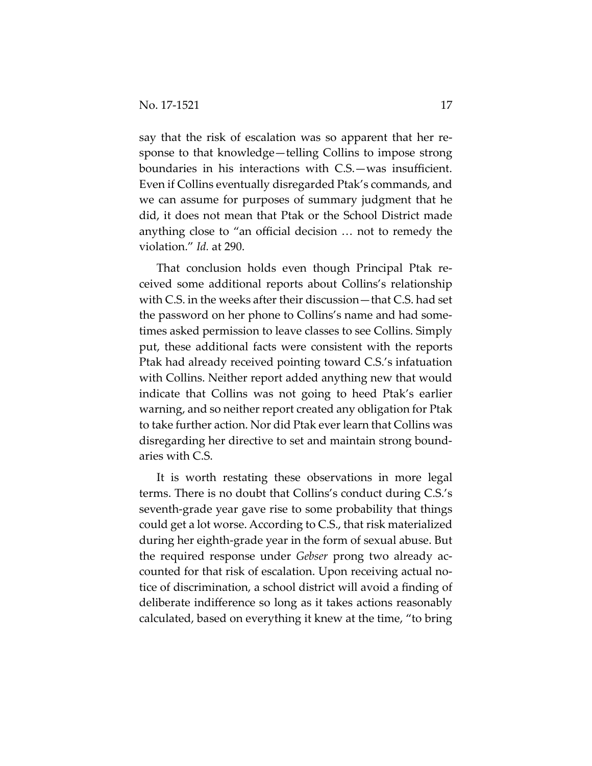say that the risk of escalation was so apparent that her response to that knowledge—telling Collins to impose strong boundaries in his interactions with C.S.—was insufficient. Even if Collins eventually disregarded Ptak's commands, and we can assume for purposes of summary judgment that he did, it does not mean that Ptak or the School District made anything close to "an official decision … not to remedy the violation." *Id.* at 290.

That conclusion holds even though Principal Ptak received some additional reports about Collins's relationship with C.S. in the weeks after their discussion—that C.S. had set the password on her phone to Collins's name and had sometimes asked permission to leave classes to see Collins. Simply put, these additional facts were consistent with the reports Ptak had already received pointing toward C.S.'s infatuation with Collins. Neither report added anything new that would indicate that Collins was not going to heed Ptak's earlier warning, and so neither report created any obligation for Ptak to take further action. Nor did Ptak ever learn that Collins was disregarding her directive to set and maintain strong boundaries with C.S.

It is worth restating these observations in more legal terms. There is no doubt that Collins's conduct during C.S.'s seventh-grade year gave rise to some probability that things could get a lot worse. According to C.S., that risk materialized during her eighth-grade year in the form of sexual abuse. But the required response under *Gebser* prong two already accounted for that risk of escalation. Upon receiving actual notice of discrimination, a school district will avoid a finding of deliberate indifference so long as it takes actions reasonably calculated, based on everything it knew at the time, "to bring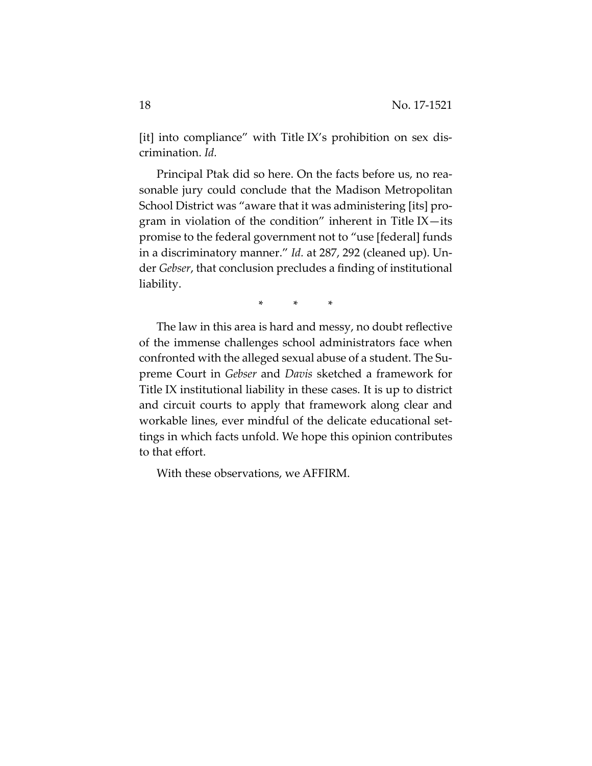[it] into compliance" with Title IX's prohibition on sex discrimination. *Id.*

Principal Ptak did so here. On the facts before us, no reasonable jury could conclude that the Madison Metropolitan School District was "aware that it was administering [its] program in violation of the condition" inherent in Title IX—its promise to the federal government not to "use [federal] funds in a discriminatory manner." *Id.* at 287, 292 (cleaned up). Under *Gebser*, that conclusion precludes a finding of institutional liability.

\* \* \*

The law in this area is hard and messy, no doubt reflective of the immense challenges school administrators face when confronted with the alleged sexual abuse of a student. The Supreme Court in *Gebser* and *Davis* sketched a framework for Title IX institutional liability in these cases. It is up to district and circuit courts to apply that framework along clear and workable lines, ever mindful of the delicate educational settings in which facts unfold. We hope this opinion contributes to that effort.

With these observations, we AFFIRM.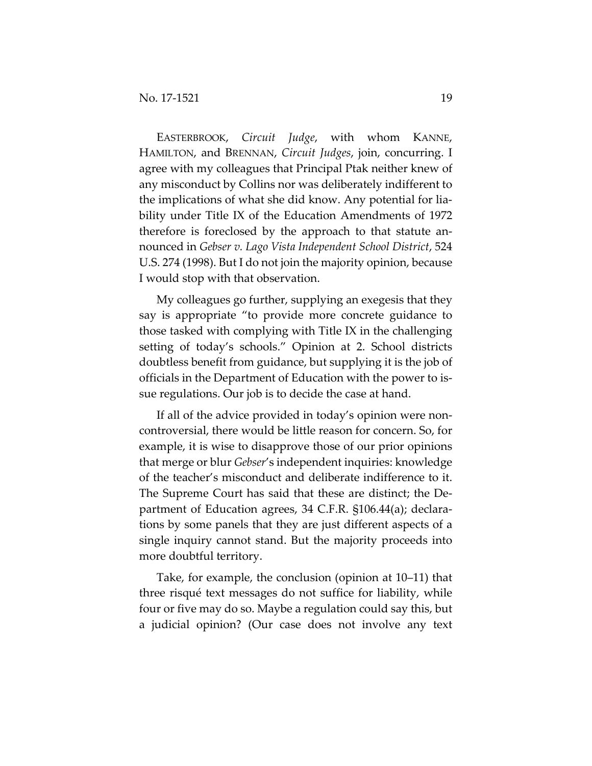EASTERBROOK, *Circuit Judge*, with whom KANNE, HAMILTON, and BRENNAN, *Circuit Judges*, join, concurring. I agree with my colleagues that Principal Ptak neither knew of any misconduct by Collins nor was deliberately indifferent to the implications of what she did know. Any potential for liability under Title IX of the Education Amendments of 1972 therefore is foreclosed by the approach to that statute announced in *Gebser v. Lago Vista Independent School District*, 524 U.S. 274 (1998). But I do not join the majority opinion, because I would stop with that observation.

My colleagues go further, supplying an exegesis that they say is appropriate "to provide more concrete guidance to those tasked with complying with Title IX in the challenging setting of today's schools." Opinion at 2. School districts doubtless benefit from guidance, but supplying it is the job of officials in the Department of Education with the power to issue regulations. Our job is to decide the case at hand.

If all of the advice provided in today's opinion were noncontroversial, there would be little reason for concern. So, for example, it is wise to disapprove those of our prior opinions that merge or blur *Gebser*'s independent inquiries: knowledge of the teacher's misconduct and deliberate indifference to it. The Supreme Court has said that these are distinct; the Department of Education agrees, 34 C.F.R. §106.44(a); declarations by some panels that they are just different aspects of a single inquiry cannot stand. But the majority proceeds into more doubtful territory.

Take, for example, the conclusion (opinion at 10–11) that three risqué text messages do not suffice for liability, while four or five may do so. Maybe a regulation could say this, but a judicial opinion? (Our case does not involve any text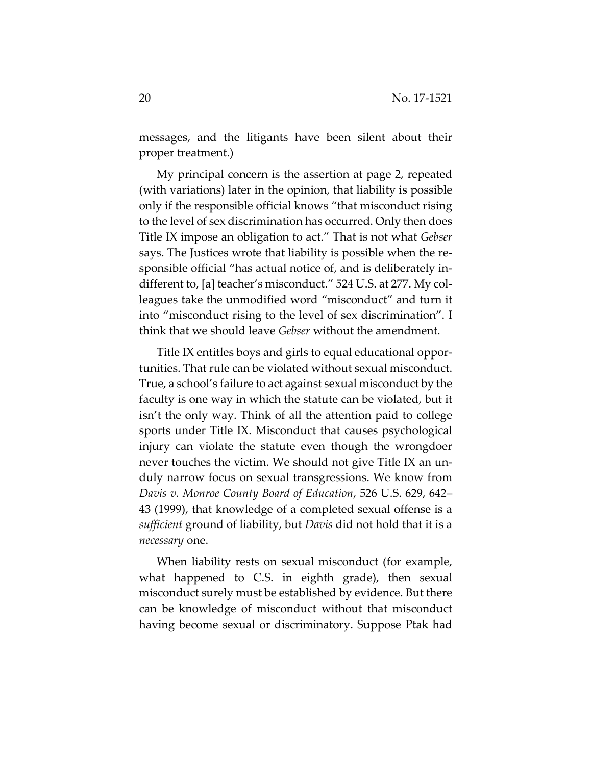messages, and the litigants have been silent about their proper treatment.)

My principal concern is the assertion at page 2, repeated (with variations) later in the opinion, that liability is possible only if the responsible official knows "that misconduct rising to the level of sex discrimination has occurred. Only then does Title IX impose an obligation to act." That is not what *Gebser* says. The Justices wrote that liability is possible when the responsible official "has actual notice of, and is deliberately indifferent to, [a] teacher's misconduct." 524 U.S. at 277. My colleagues take the unmodified word "misconduct" and turn it into "misconduct rising to the level of sex discrimination". I think that we should leave *Gebser* without the amendment.

Title IX entitles boys and girls to equal educational opportunities. That rule can be violated without sexual misconduct. True, a school's failure to act against sexual misconduct by the faculty is one way in which the statute can be violated, but it isn't the only way. Think of all the attention paid to college sports under Title IX. Misconduct that causes psychological injury can violate the statute even though the wrongdoer never touches the victim. We should not give Title IX an unduly narrow focus on sexual transgressions. We know from *Davis v. Monroe County Board of Education*, 526 U.S. 629, 642– 43 (1999), that knowledge of a completed sexual offense is a *sufficient* ground of liability, but *Davis* did not hold that it is a *necessary* one.

When liability rests on sexual misconduct (for example, what happened to C.S. in eighth grade), then sexual misconduct surely must be established by evidence. But there can be knowledge of misconduct without that misconduct having become sexual or discriminatory. Suppose Ptak had